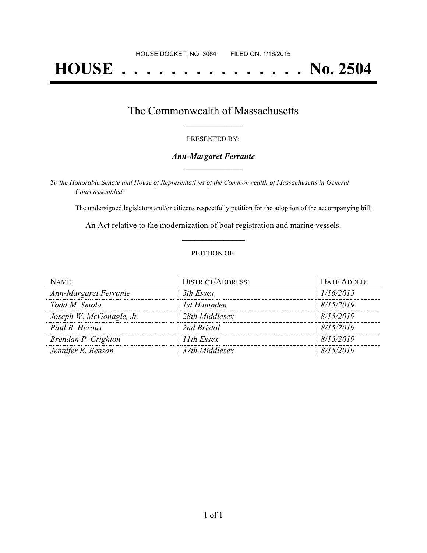# **HOUSE . . . . . . . . . . . . . . . No. 2504**

### The Commonwealth of Massachusetts **\_\_\_\_\_\_\_\_\_\_\_\_\_\_\_\_\_**

#### PRESENTED BY:

#### *Ann-Margaret Ferrante* **\_\_\_\_\_\_\_\_\_\_\_\_\_\_\_\_\_**

*To the Honorable Senate and House of Representatives of the Commonwealth of Massachusetts in General Court assembled:*

The undersigned legislators and/or citizens respectfully petition for the adoption of the accompanying bill:

An Act relative to the modernization of boat registration and marine vessels. **\_\_\_\_\_\_\_\_\_\_\_\_\_\_\_**

#### PETITION OF:

| NAME:                    | <b>DISTRICT/ADDRESS:</b> | DATE ADDED: |
|--------------------------|--------------------------|-------------|
| Ann-Margaret Ferrante    | 5th Essex                | 1/16/2015   |
| Todd M. Smola            | 1st Hampden              | 8/15/2019   |
| Joseph W. McGonagle, Jr. | 28th Middlesex           | 8/15/2019   |
| Paul R. Heroux           | 2nd Bristol              | 8/15/2019   |
| Brendan P. Crighton      | 11th Essex               | 8/15/2019   |
| Jennifer E. Benson       | 37th Middlesex           | 8/15/2019   |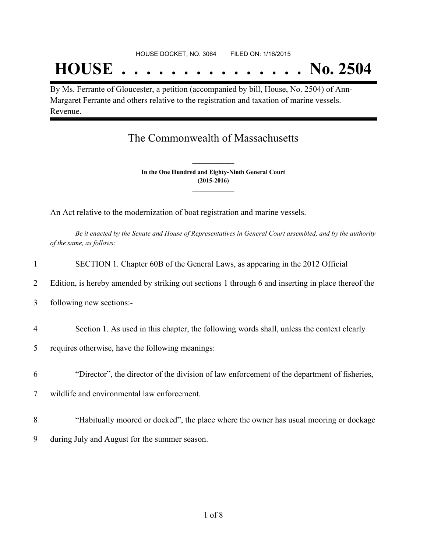## **HOUSE . . . . . . . . . . . . . . . No. 2504**

By Ms. Ferrante of Gloucester, a petition (accompanied by bill, House, No. 2504) of Ann-Margaret Ferrante and others relative to the registration and taxation of marine vessels. Revenue.

## The Commonwealth of Massachusetts

**In the One Hundred and Eighty-Ninth General Court (2015-2016) \_\_\_\_\_\_\_\_\_\_\_\_\_\_\_**

**\_\_\_\_\_\_\_\_\_\_\_\_\_\_\_**

An Act relative to the modernization of boat registration and marine vessels.

Be it enacted by the Senate and House of Representatives in General Court assembled, and by the authority *of the same, as follows:*

| $\mathbf{1}$   | SECTION 1. Chapter 60B of the General Laws, as appearing in the 2012 Official                      |
|----------------|----------------------------------------------------------------------------------------------------|
| 2              | Edition, is hereby amended by striking out sections 1 through 6 and inserting in place thereof the |
| 3              | following new sections:-                                                                           |
| $\overline{4}$ | Section 1. As used in this chapter, the following words shall, unless the context clearly          |
| 5              | requires otherwise, have the following meanings:                                                   |
| 6              | "Director", the director of the division of law enforcement of the department of fisheries,        |
| $\tau$         | wildlife and environmental law enforcement.                                                        |
| 8              | "Habitually moored or docked", the place where the owner has usual mooring or dockage              |
| 9              | during July and August for the summer season.                                                      |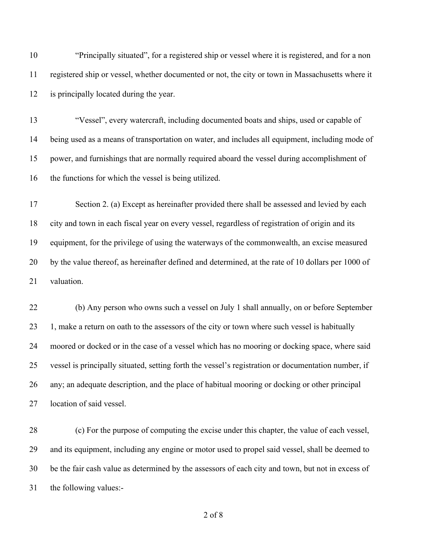"Principally situated", for a registered ship or vessel where it is registered, and for a non registered ship or vessel, whether documented or not, the city or town in Massachusetts where it is principally located during the year.

 "Vessel", every watercraft, including documented boats and ships, used or capable of being used as a means of transportation on water, and includes all equipment, including mode of power, and furnishings that are normally required aboard the vessel during accomplishment of the functions for which the vessel is being utilized.

 Section 2. (a) Except as hereinafter provided there shall be assessed and levied by each city and town in each fiscal year on every vessel, regardless of registration of origin and its equipment, for the privilege of using the waterways of the commonwealth, an excise measured by the value thereof, as hereinafter defined and determined, at the rate of 10 dollars per 1000 of 21 valuation.

 (b) Any person who owns such a vessel on July 1 shall annually, on or before September 1, make a return on oath to the assessors of the city or town where such vessel is habitually moored or docked or in the case of a vessel which has no mooring or docking space, where said vessel is principally situated, setting forth the vessel's registration or documentation number, if any; an adequate description, and the place of habitual mooring or docking or other principal location of said vessel.

 (c) For the purpose of computing the excise under this chapter, the value of each vessel, and its equipment, including any engine or motor used to propel said vessel, shall be deemed to be the fair cash value as determined by the assessors of each city and town, but not in excess of the following values:-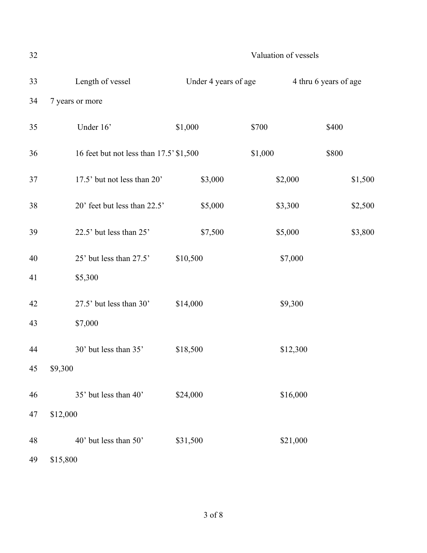32 Valuation of vessels 33 Length of vessel Under 4 years of age 4 thru 6 years of age 34 7 years or more 35 Under 16' \$1,000 \$700 \$400 36 16 feet but not less than 17.5' \$1,500 \$1,000 \$800 37 17.5' but not less than 20' \$3,000 \$2,000 \$1,500 38 20' feet but less than 22.5' \$5,000 \$3,300 \$2,500 39 22.5' but less than 25' \$7,500 \$5,000 \$3,800 40 25' but less than 27.5' \$10,500 \$7,000 41 \$5,300 42 27.5' but less than 30' \$14,000 \$9,300 43 \$7,000 44 30' but less than 35' \$18,500 \$12,300 45 \$9,300 46 35' but less than 40' \$24,000 \$16,000 47 \$12,000 48 40' but less than 50' \$31,500 \$21,000 49 \$15,800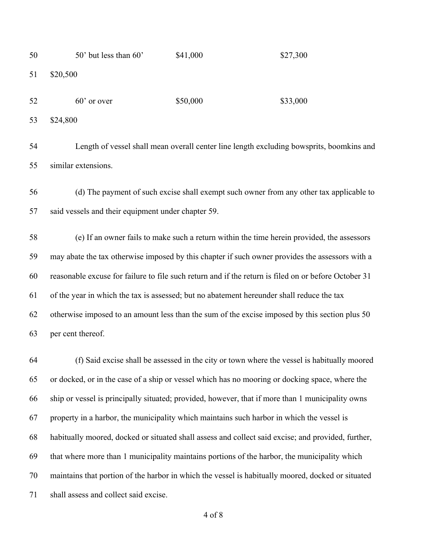| 50 | 50' but less than 60'                                                                                | \$41,000 | \$27,300                                                                                         |  |  |
|----|------------------------------------------------------------------------------------------------------|----------|--------------------------------------------------------------------------------------------------|--|--|
| 51 | \$20,500                                                                                             |          |                                                                                                  |  |  |
| 52 | $60'$ or over                                                                                        | \$50,000 | \$33,000                                                                                         |  |  |
| 53 | \$24,800                                                                                             |          |                                                                                                  |  |  |
| 54 |                                                                                                      |          | Length of vessel shall mean overall center line length excluding bowsprits, boomkins and         |  |  |
| 55 | similar extensions.                                                                                  |          |                                                                                                  |  |  |
| 56 |                                                                                                      |          | (d) The payment of such excise shall exempt such owner from any other tax applicable to          |  |  |
| 57 | said vessels and their equipment under chapter 59.                                                   |          |                                                                                                  |  |  |
| 58 |                                                                                                      |          | (e) If an owner fails to make such a return within the time herein provided, the assessors       |  |  |
| 59 | may abate the tax otherwise imposed by this chapter if such owner provides the assessors with a      |          |                                                                                                  |  |  |
| 60 | reasonable excuse for failure to file such return and if the return is filed on or before October 31 |          |                                                                                                  |  |  |
| 61 | of the year in which the tax is assessed; but no abatement hereunder shall reduce the tax            |          |                                                                                                  |  |  |
| 62 |                                                                                                      |          | otherwise imposed to an amount less than the sum of the excise imposed by this section plus 50   |  |  |
| 63 | per cent thereof.                                                                                    |          |                                                                                                  |  |  |
| 64 |                                                                                                      |          | (f) Said excise shall be assessed in the city or town where the vessel is habitually moored      |  |  |
| 65 |                                                                                                      |          | or docked, or in the case of a ship or vessel which has no mooring or docking space, where the   |  |  |
| 66 |                                                                                                      |          | ship or vessel is principally situated; provided, however, that if more than 1 municipality owns |  |  |
| 67 | property in a harbor, the municipality which maintains such harbor in which the vessel is            |          |                                                                                                  |  |  |
| 68 | habitually moored, docked or situated shall assess and collect said excise; and provided, further,   |          |                                                                                                  |  |  |
| 69 | that where more than 1 municipality maintains portions of the harbor, the municipality which         |          |                                                                                                  |  |  |
| 70 | maintains that portion of the harbor in which the vessel is habitually moored, docked or situated    |          |                                                                                                  |  |  |
| 71 | shall assess and collect said excise.                                                                |          |                                                                                                  |  |  |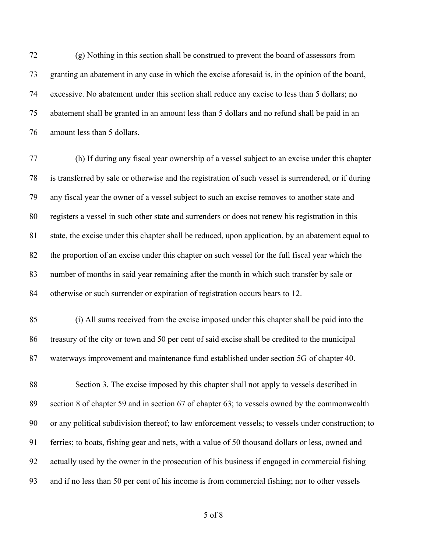(g) Nothing in this section shall be construed to prevent the board of assessors from granting an abatement in any case in which the excise aforesaid is, in the opinion of the board, excessive. No abatement under this section shall reduce any excise to less than 5 dollars; no abatement shall be granted in an amount less than 5 dollars and no refund shall be paid in an amount less than 5 dollars.

 (h) If during any fiscal year ownership of a vessel subject to an excise under this chapter is transferred by sale or otherwise and the registration of such vessel is surrendered, or if during any fiscal year the owner of a vessel subject to such an excise removes to another state and registers a vessel in such other state and surrenders or does not renew his registration in this state, the excise under this chapter shall be reduced, upon application, by an abatement equal to the proportion of an excise under this chapter on such vessel for the full fiscal year which the number of months in said year remaining after the month in which such transfer by sale or otherwise or such surrender or expiration of registration occurs bears to 12.

 (i) All sums received from the excise imposed under this chapter shall be paid into the treasury of the city or town and 50 per cent of said excise shall be credited to the municipal waterways improvement and maintenance fund established under section 5G of chapter 40.

 Section 3. The excise imposed by this chapter shall not apply to vessels described in section 8 of chapter 59 and in section 67 of chapter 63; to vessels owned by the commonwealth or any political subdivision thereof; to law enforcement vessels; to vessels under construction; to ferries; to boats, fishing gear and nets, with a value of 50 thousand dollars or less, owned and actually used by the owner in the prosecution of his business if engaged in commercial fishing and if no less than 50 per cent of his income is from commercial fishing; nor to other vessels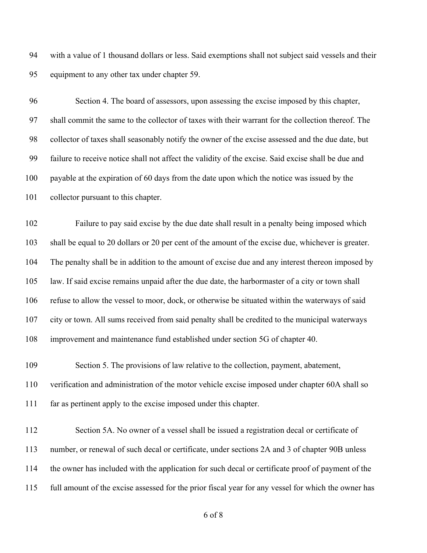with a value of 1 thousand dollars or less. Said exemptions shall not subject said vessels and their equipment to any other tax under chapter 59.

 Section 4. The board of assessors, upon assessing the excise imposed by this chapter, shall commit the same to the collector of taxes with their warrant for the collection thereof. The collector of taxes shall seasonably notify the owner of the excise assessed and the due date, but failure to receive notice shall not affect the validity of the excise. Said excise shall be due and payable at the expiration of 60 days from the date upon which the notice was issued by the collector pursuant to this chapter.

 Failure to pay said excise by the due date shall result in a penalty being imposed which shall be equal to 20 dollars or 20 per cent of the amount of the excise due, whichever is greater. The penalty shall be in addition to the amount of excise due and any interest thereon imposed by law. If said excise remains unpaid after the due date, the harbormaster of a city or town shall refuse to allow the vessel to moor, dock, or otherwise be situated within the waterways of said city or town. All sums received from said penalty shall be credited to the municipal waterways improvement and maintenance fund established under section 5G of chapter 40.

 Section 5. The provisions of law relative to the collection, payment, abatement, verification and administration of the motor vehicle excise imposed under chapter 60A shall so far as pertinent apply to the excise imposed under this chapter.

 Section 5A. No owner of a vessel shall be issued a registration decal or certificate of number, or renewal of such decal or certificate, under sections 2A and 3 of chapter 90B unless the owner has included with the application for such decal or certificate proof of payment of the full amount of the excise assessed for the prior fiscal year for any vessel for which the owner has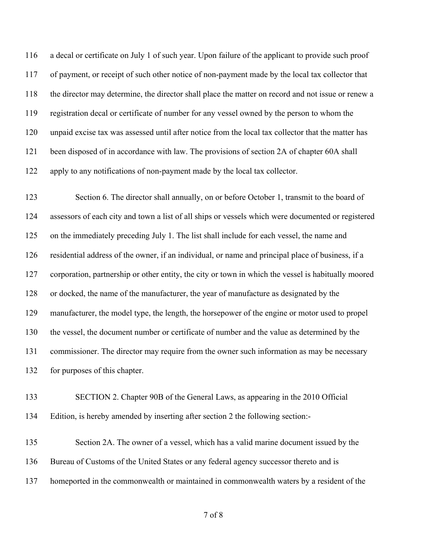a decal or certificate on July 1 of such year. Upon failure of the applicant to provide such proof of payment, or receipt of such other notice of non-payment made by the local tax collector that the director may determine, the director shall place the matter on record and not issue or renew a registration decal or certificate of number for any vessel owned by the person to whom the unpaid excise tax was assessed until after notice from the local tax collector that the matter has been disposed of in accordance with law. The provisions of section 2A of chapter 60A shall apply to any notifications of non-payment made by the local tax collector.

123 Section 6. The director shall annually, on or before October 1, transmit to the board of assessors of each city and town a list of all ships or vessels which were documented or registered on the immediately preceding July 1. The list shall include for each vessel, the name and residential address of the owner, if an individual, or name and principal place of business, if a corporation, partnership or other entity, the city or town in which the vessel is habitually moored or docked, the name of the manufacturer, the year of manufacture as designated by the manufacturer, the model type, the length, the horsepower of the engine or motor used to propel the vessel, the document number or certificate of number and the value as determined by the commissioner. The director may require from the owner such information as may be necessary for purposes of this chapter.

 SECTION 2. Chapter 90B of the General Laws, as appearing in the 2010 Official Edition, is hereby amended by inserting after section 2 the following section:-

 Section 2A. The owner of a vessel, which has a valid marine document issued by the Bureau of Customs of the United States or any federal agency successor thereto and is homeported in the commonwealth or maintained in commonwealth waters by a resident of the